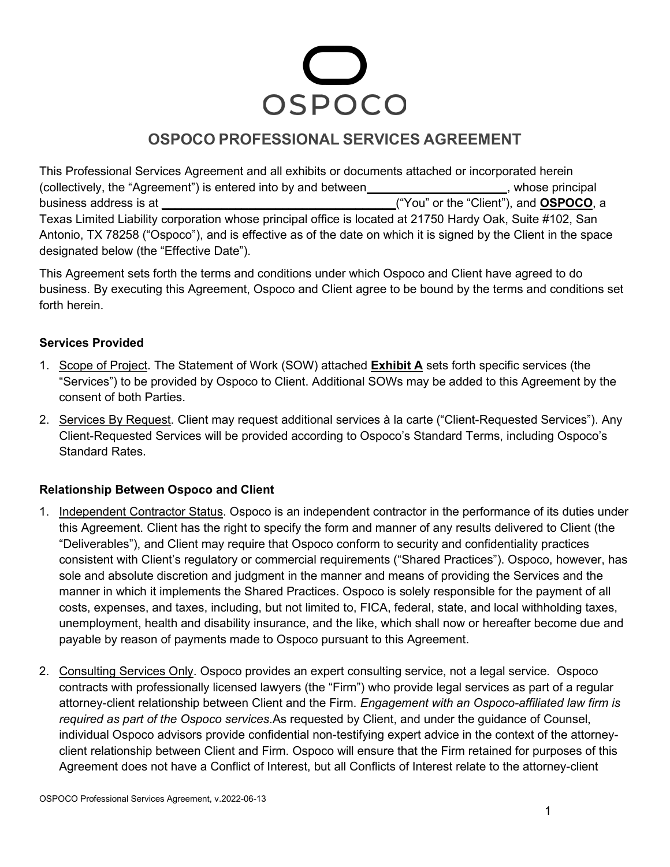# OSPOCO

# **OSPOCO PROFESSIONAL SERVICES AGREEMENT**

This Professional Services Agreement and all exhibits or documents attached or incorporated herein (collectively, the "Agreement") is entered into by and between<br>
and between<br>  $\blacksquare$ business address is at **\_\_\_\_\_\_\_\_\_\_\_\_\_\_\_\_\_\_\_\_\_\_\_\_\_\_\_\_\_\_\_\_\_\_\_**("You" or the "Client"), and **OSPOCO**, a Texas Limited Liability corporation whose principal office is located at 21750 Hardy Oak, Suite #102, San Antonio, TX 78258 ("Ospoco"), and is effective as of the date on which it is signed by the Client in the space designated below (the "Effective Date").

This Agreement sets forth the terms and conditions under which Ospoco and Client have agreed to do business. By executing this Agreement, Ospoco and Client agree to be bound by the terms and conditions set forth herein.

### **Services Provided**

- 1. Scope of Project. The Statement of Work (SOW) attached **Exhibit A** sets forth specific services (the "Services") to be provided by Ospoco to Client. Additional SOWs may be added to this Agreement by the consent of both Parties.
- 2. Services By Request. Client may request additional services à la carte ("Client-Requested Services"). Any Client-Requested Services will be provided according to Ospoco's Standard Terms, including Ospoco's Standard Rates.

### **Relationship Between Ospoco and Client**

- 1. Independent Contractor Status. Ospoco is an independent contractor in the performance of its duties under this Agreement. Client has the right to specify the form and manner of any results delivered to Client (the "Deliverables"), and Client may require that Ospoco conform to security and confidentiality practices consistent with Client's regulatory or commercial requirements ("Shared Practices"). Ospoco, however, has sole and absolute discretion and judgment in the manner and means of providing the Services and the manner in which it implements the Shared Practices. Ospoco is solely responsible for the payment of all costs, expenses, and taxes, including, but not limited to, FICA, federal, state, and local withholding taxes, unemployment, health and disability insurance, and the like, which shall now or hereafter become due and payable by reason of payments made to Ospoco pursuant to this Agreement.
- 2. Consulting Services Only. Ospoco provides an expert consulting service, not a legal service. Ospoco contracts with professionally licensed lawyers (the "Firm") who provide legal services as part of a regular attorney-client relationship between Client and the Firm. *Engagement with an Ospoco-affiliated law firm is required as part of the Ospoco services*.As requested by Client, and under the guidance of Counsel, individual Ospoco advisors provide confidential non-testifying expert advice in the context of the attorneyclient relationship between Client and Firm. Ospoco will ensure that the Firm retained for purposes of this Agreement does not have a Conflict of Interest, but all Conflicts of Interest relate to the attorney-client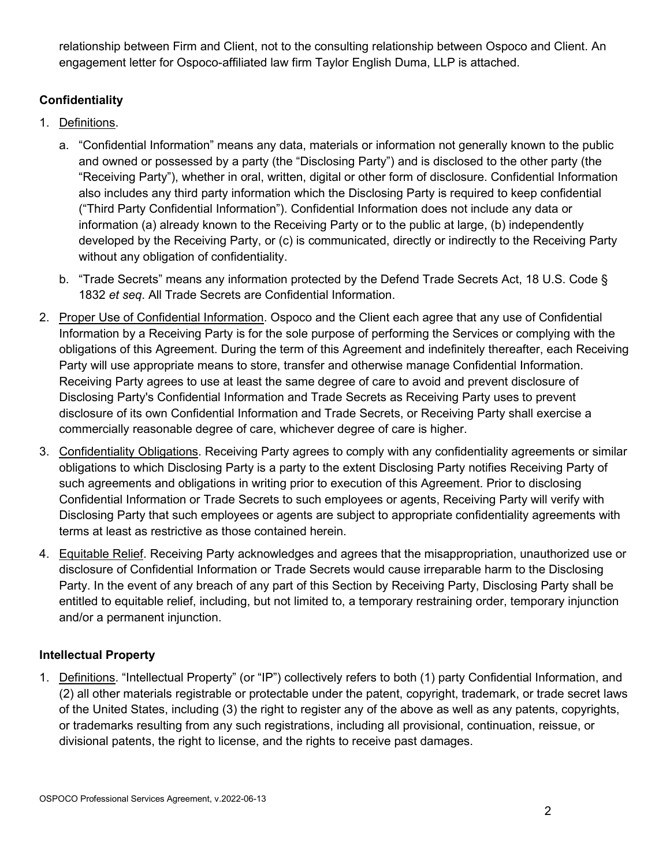relationship between Firm and Client, not to the consulting relationship between Ospoco and Client. An engagement letter for Ospoco-affiliated law firm Taylor English Duma, LLP is attached.

## **Confidentiality**

- 1. Definitions.
	- a. "Confidential Information" means any data, materials or information not generally known to the public and owned or possessed by a party (the "Disclosing Party") and is disclosed to the other party (the "Receiving Party"), whether in oral, written, digital or other form of disclosure. Confidential Information also includes any third party information which the Disclosing Party is required to keep confidential ("Third Party Confidential Information"). Confidential Information does not include any data or information (a) already known to the Receiving Party or to the public at large, (b) independently developed by the Receiving Party, or (c) is communicated, directly or indirectly to the Receiving Party without any obligation of confidentiality.
	- b. "Trade Secrets" means any information protected by the Defend Trade Secrets Act, 18 U.S. Code § 1832 *et seq*. All Trade Secrets are Confidential Information.
- 2. Proper Use of Confidential Information. Ospoco and the Client each agree that any use of Confidential Information by a Receiving Party is for the sole purpose of performing the Services or complying with the obligations of this Agreement. During the term of this Agreement and indefinitely thereafter, each Receiving Party will use appropriate means to store, transfer and otherwise manage Confidential Information. Receiving Party agrees to use at least the same degree of care to avoid and prevent disclosure of Disclosing Party's Confidential Information and Trade Secrets as Receiving Party uses to prevent disclosure of its own Confidential Information and Trade Secrets, or Receiving Party shall exercise a commercially reasonable degree of care, whichever degree of care is higher.
- 3. Confidentiality Obligations. Receiving Party agrees to comply with any confidentiality agreements or similar obligations to which Disclosing Party is a party to the extent Disclosing Party notifies Receiving Party of such agreements and obligations in writing prior to execution of this Agreement. Prior to disclosing Confidential Information or Trade Secrets to such employees or agents, Receiving Party will verify with Disclosing Party that such employees or agents are subject to appropriate confidentiality agreements with terms at least as restrictive as those contained herein.
- 4. Equitable Relief. Receiving Party acknowledges and agrees that the misappropriation, unauthorized use or disclosure of Confidential Information or Trade Secrets would cause irreparable harm to the Disclosing Party. In the event of any breach of any part of this Section by Receiving Party, Disclosing Party shall be entitled to equitable relief, including, but not limited to, a temporary restraining order, temporary injunction and/or a permanent injunction.

### **Intellectual Property**

1. Definitions. "Intellectual Property" (or "IP") collectively refers to both (1) party Confidential Information, and (2) all other materials registrable or protectable under the patent, copyright, trademark, or trade secret laws of the United States, including (3) the right to register any of the above as well as any patents, copyrights, or trademarks resulting from any such registrations, including all provisional, continuation, reissue, or divisional patents, the right to license, and the rights to receive past damages.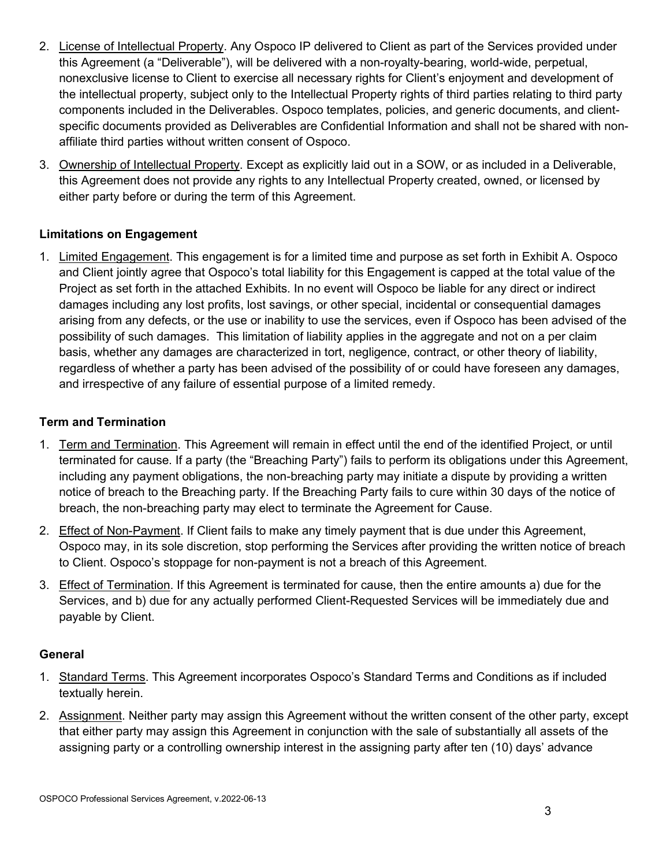- 2. License of Intellectual Property. Any Ospoco IP delivered to Client as part of the Services provided under this Agreement (a "Deliverable"), will be delivered with a non-royalty-bearing, world-wide, perpetual, nonexclusive license to Client to exercise all necessary rights for Client's enjoyment and development of the intellectual property, subject only to the Intellectual Property rights of third parties relating to third party components included in the Deliverables. Ospoco templates, policies, and generic documents, and clientspecific documents provided as Deliverables are Confidential Information and shall not be shared with nonaffiliate third parties without written consent of Ospoco.
- 3. Ownership of Intellectual Property. Except as explicitly laid out in a SOW, or as included in a Deliverable, this Agreement does not provide any rights to any Intellectual Property created, owned, or licensed by either party before or during the term of this Agreement.

### **Limitations on Engagement**

1. Limited Engagement. This engagement is for a limited time and purpose as set forth in Exhibit A. Ospoco and Client jointly agree that Ospoco's total liability for this Engagement is capped at the total value of the Project as set forth in the attached Exhibits. In no event will Ospoco be liable for any direct or indirect damages including any lost profits, lost savings, or other special, incidental or consequential damages arising from any defects, or the use or inability to use the services, even if Ospoco has been advised of the possibility of such damages. This limitation of liability applies in the aggregate and not on a per claim basis, whether any damages are characterized in tort, negligence, contract, or other theory of liability, regardless of whether a party has been advised of the possibility of or could have foreseen any damages, and irrespective of any failure of essential purpose of a limited remedy.

### **Term and Termination**

- 1. Term and Termination. This Agreement will remain in effect until the end of the identified Project, or until terminated for cause. If a party (the "Breaching Party") fails to perform its obligations under this Agreement, including any payment obligations, the non-breaching party may initiate a dispute by providing a written notice of breach to the Breaching party. If the Breaching Party fails to cure within 30 days of the notice of breach, the non-breaching party may elect to terminate the Agreement for Cause.
- 2. Effect of Non-Payment. If Client fails to make any timely payment that is due under this Agreement, Ospoco may, in its sole discretion, stop performing the Services after providing the written notice of breach to Client. Ospoco's stoppage for non-payment is not a breach of this Agreement.
- 3. Effect of Termination. If this Agreement is terminated for cause, then the entire amounts a) due for the Services, and b) due for any actually performed Client-Requested Services will be immediately due and payable by Client.

### **General**

- 1. Standard Terms. This Agreement incorporates Ospoco's Standard Terms and Conditions as if included textually herein.
- 2. Assignment. Neither party may assign this Agreement without the written consent of the other party, except that either party may assign this Agreement in conjunction with the sale of substantially all assets of the assigning party or a controlling ownership interest in the assigning party after ten (10) days' advance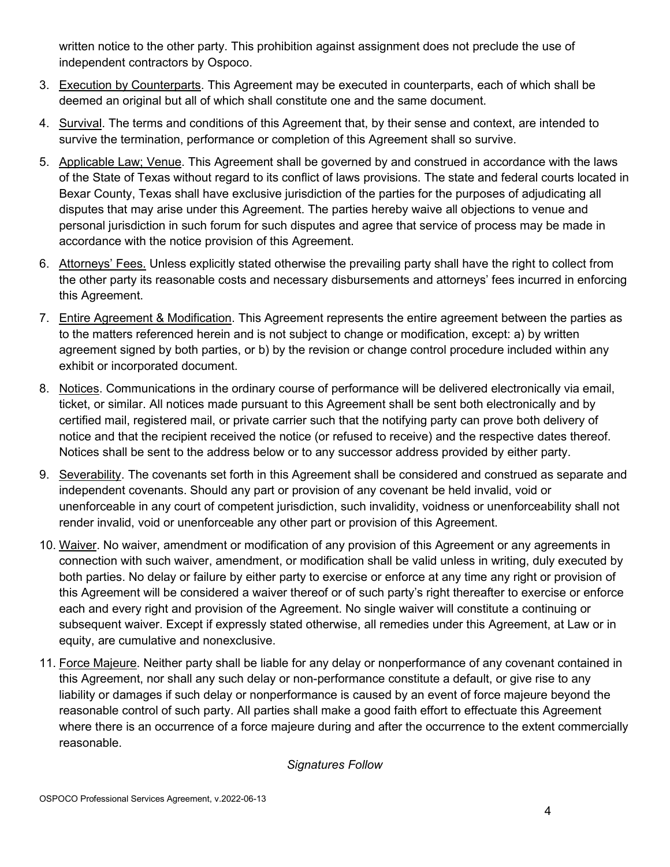written notice to the other party. This prohibition against assignment does not preclude the use of independent contractors by Ospoco.

- 3. Execution by Counterparts. This Agreement may be executed in counterparts, each of which shall be deemed an original but all of which shall constitute one and the same document.
- 4. Survival. The terms and conditions of this Agreement that, by their sense and context, are intended to survive the termination, performance or completion of this Agreement shall so survive.
- 5. Applicable Law; Venue. This Agreement shall be governed by and construed in accordance with the laws of the State of Texas without regard to its conflict of laws provisions. The state and federal courts located in Bexar County, Texas shall have exclusive jurisdiction of the parties for the purposes of adjudicating all disputes that may arise under this Agreement. The parties hereby waive all objections to venue and personal jurisdiction in such forum for such disputes and agree that service of process may be made in accordance with the notice provision of this Agreement.
- 6. Attorneys' Fees. Unless explicitly stated otherwise the prevailing party shall have the right to collect from the other party its reasonable costs and necessary disbursements and attorneys' fees incurred in enforcing this Agreement.
- 7. Entire Agreement & Modification. This Agreement represents the entire agreement between the parties as to the matters referenced herein and is not subject to change or modification, except: a) by written agreement signed by both parties, or b) by the revision or change control procedure included within any exhibit or incorporated document.
- 8. Notices. Communications in the ordinary course of performance will be delivered electronically via email, ticket, or similar. All notices made pursuant to this Agreement shall be sent both electronically and by certified mail, registered mail, or private carrier such that the notifying party can prove both delivery of notice and that the recipient received the notice (or refused to receive) and the respective dates thereof. Notices shall be sent to the address below or to any successor address provided by either party.
- 9. Severability. The covenants set forth in this Agreement shall be considered and construed as separate and independent covenants. Should any part or provision of any covenant be held invalid, void or unenforceable in any court of competent jurisdiction, such invalidity, voidness or unenforceability shall not render invalid, void or unenforceable any other part or provision of this Agreement.
- 10. Waiver. No waiver, amendment or modification of any provision of this Agreement or any agreements in connection with such waiver, amendment, or modification shall be valid unless in writing, duly executed by both parties. No delay or failure by either party to exercise or enforce at any time any right or provision of this Agreement will be considered a waiver thereof or of such party's right thereafter to exercise or enforce each and every right and provision of the Agreement. No single waiver will constitute a continuing or subsequent waiver. Except if expressly stated otherwise, all remedies under this Agreement, at Law or in equity, are cumulative and nonexclusive.
- 11. Force Majeure. Neither party shall be liable for any delay or nonperformance of any covenant contained in this Agreement, nor shall any such delay or non-performance constitute a default, or give rise to any liability or damages if such delay or nonperformance is caused by an event of force majeure beyond the reasonable control of such party. All parties shall make a good faith effort to effectuate this Agreement where there is an occurrence of a force majeure during and after the occurrence to the extent commercially reasonable.

### *Signatures Follow*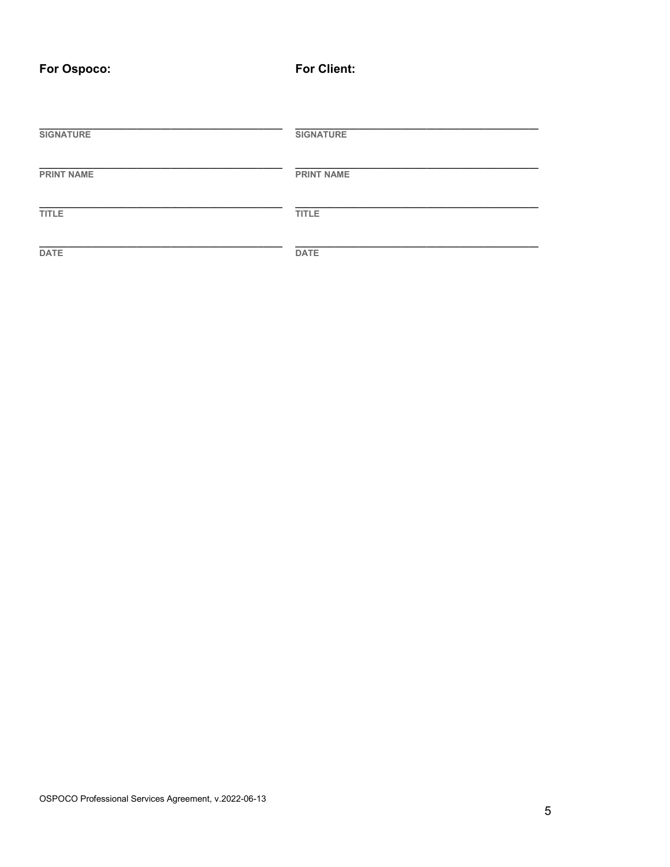For Client:

| <b>SIGNATURE</b>  | <b>SIGNATURE</b>  |
|-------------------|-------------------|
| <b>PRINT NAME</b> | <b>PRINT NAME</b> |
| <b>TITLE</b>      | <b>TITLE</b>      |
| <b>DATE</b>       | <b>DATE</b>       |